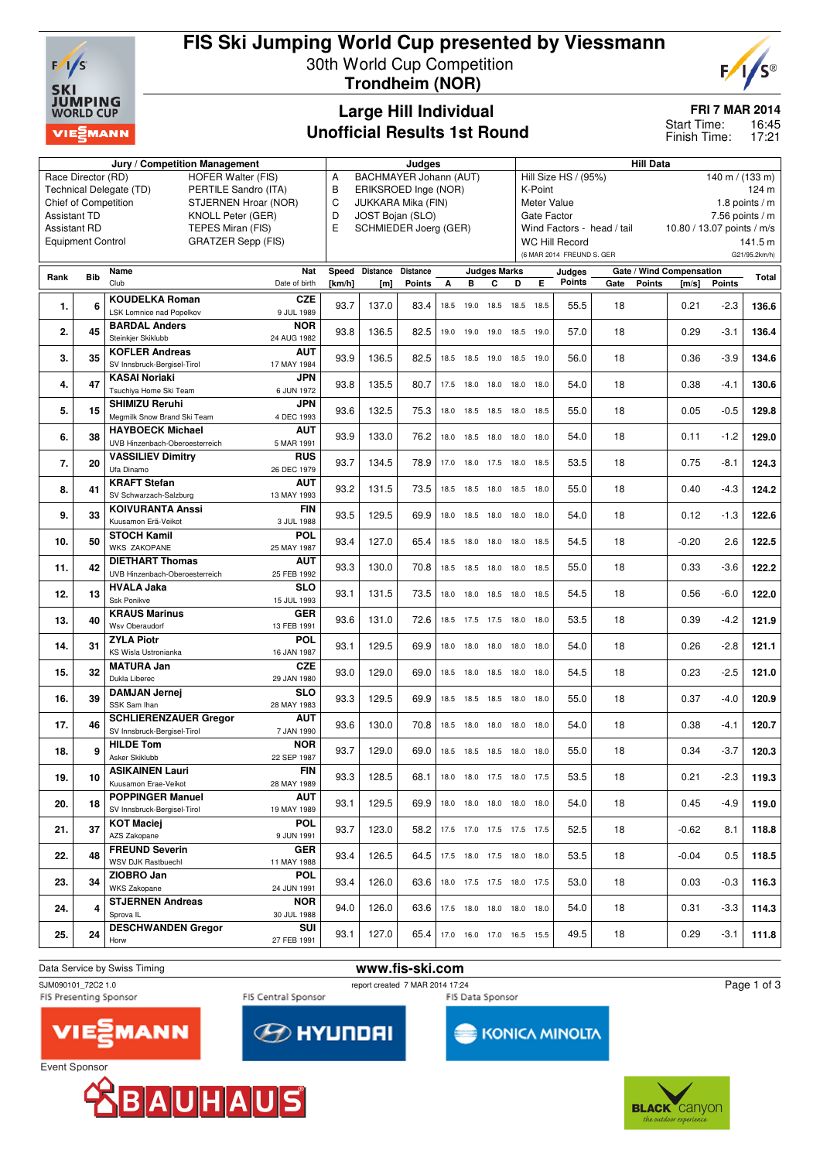

## **FIS Ski Jumping World Cup presented by Viessmann** 30th World Cup Competition **Trondheim (NOR)**



## **Large Hill Individual Unofficial Results 1st Round**

**FRI 7 MAR 2014**

16:45 17:21 Start Time: Finish Time:

|                                                       |                             | Jury / Competition Management                               | Judges                         |                       |                 |                 |      |           | <b>Hill Data</b>                                          |                                 |      |                            |      |                            |                          |               |               |
|-------------------------------------------------------|-----------------------------|-------------------------------------------------------------|--------------------------------|-----------------------|-----------------|-----------------|------|-----------|-----------------------------------------------------------|---------------------------------|------|----------------------------|------|----------------------------|--------------------------|---------------|---------------|
|                                                       | Race Director (RD)          | <b>HOFER Walter (FIS)</b>                                   | BACHMAYER Johann (AUT)<br>A    |                       |                 |                 |      |           | Hill Size HS / (95%)<br>$140 \text{ m} / (133 \text{ m})$ |                                 |      |                            |      |                            |                          |               |               |
|                                                       |                             | Technical Delegate (TD)<br>PERTILE Sandro (ITA)             | в<br>ERIKSROED Inge (NOR)      |                       |                 |                 |      |           |                                                           | 124 m<br>K-Point                |      |                            |      |                            |                          |               |               |
|                                                       | <b>Chief of Competition</b> | STJERNEN Hroar (NOR)                                        | C<br><b>JUKKARA Mika (FIN)</b> |                       |                 |                 |      |           |                                                           | 1.8 points $/m$<br>Meter Value  |      |                            |      |                            |                          |               |               |
| <b>Assistant TD</b>                                   |                             | KNOLL Peter (GER)                                           | D<br>JOST Bojan (SLO)          |                       |                 |                 |      |           |                                                           | 7.56 points $/m$<br>Gate Factor |      |                            |      |                            |                          |               |               |
| <b>Assistant RD</b>                                   |                             | TEPES Miran (FIS)                                           | E                              | SCHMIEDER Joerg (GER) |                 |                 |      |           |                                                           |                                 |      | Wind Factors - head / tail |      | 10.80 / 13.07 points / m/s |                          |               |               |
| <b>Equipment Control</b><br><b>GRATZER Sepp (FIS)</b> |                             |                                                             |                                |                       |                 |                 |      |           |                                                           |                                 |      | <b>WC Hill Record</b>      |      |                            |                          |               | 141.5 m       |
|                                                       |                             |                                                             |                                |                       |                 |                 |      |           |                                                           |                                 |      | (6 MAR 2014 FREUND S. GER  |      |                            |                          |               | G21/95.2km/h) |
|                                                       |                             | Name                                                        | Nat                            | Speed                 | <b>Distance</b> | <b>Distance</b> |      |           | <b>Judges Marks</b>                                       |                                 |      | Judges                     |      |                            | Gate / Wind Compensation |               |               |
| Rank                                                  | <b>Bib</b>                  | Club                                                        | Date of birth                  | [km/h]                | [m]             | Points          | А    | в         | C                                                         | D                               | Е    | <b>Points</b>              | Gate | <b>Points</b>              | [m/s]                    | <b>Points</b> | Total         |
|                                                       |                             | <b>KOUDELKA Roman</b>                                       | <b>CZE</b>                     |                       |                 |                 |      |           |                                                           |                                 |      |                            |      |                            |                          |               |               |
| 1.                                                    | 6                           | LSK Lomnice nad Popelkov                                    | 9 JUL 1989                     | 93.7                  | 137.0           | 83.4            | 18.5 |           |                                                           | 19.0 18.5 18.5 18.5             |      | 55.5                       | 18   |                            | 0.21                     | $-2.3$        | 136.6         |
|                                                       |                             | <b>BARDAL Anders</b>                                        | <b>NOR</b>                     |                       |                 |                 |      |           |                                                           |                                 |      |                            |      |                            |                          |               |               |
| 2.                                                    | 45                          | Steinkjer Skiklubb                                          | 24 AUG 1982                    | 93.8                  | 136.5           | 82.5            | 19.0 |           |                                                           | 19.0 19.0 18.5 19.0             |      | 57.0                       | 18   |                            | 0.29                     | -3.1          | 136.4         |
|                                                       |                             | <b>KOFLER Andreas</b>                                       | <b>AUT</b>                     |                       |                 |                 |      |           |                                                           |                                 |      |                            |      |                            |                          |               |               |
| 3.                                                    | 35                          | SV Innsbruck-Bergisel-Tirol                                 | 17 MAY 1984                    | 93.9                  | 136.5           | 82.5            |      |           |                                                           | 18.5 18.5 19.0 18.5 19.0        |      | 56.0                       | 18   |                            | 0.36                     | $-3.9$        | 134.6         |
|                                                       |                             | <b>KASAI Noriaki</b>                                        | JPN                            |                       |                 |                 |      |           |                                                           |                                 |      |                            |      |                            |                          |               |               |
| 4.                                                    | 47                          | Tsuchiya Home Ski Team                                      | 6 JUN 1972                     | 93.8                  | 135.5           | 80.7            |      |           |                                                           | 17.5 18.0 18.0 18.0 18.0        |      | 54.0                       | 18   |                            | 0.38                     | $-4.1$        | 130.6         |
|                                                       |                             | <b>SHIMIZU Reruhi</b>                                       | <b>JPN</b>                     |                       |                 |                 |      |           |                                                           |                                 |      |                            |      |                            |                          |               |               |
| 5.                                                    | 15                          | Megmilk Snow Brand Ski Team                                 | 4 DEC 1993                     | 93.6                  | 132.5           | 75.3            | 18.0 |           | 18.5 18.5 18.0                                            |                                 | 18.5 | 55.0                       | 18   |                            | 0.05                     | $-0.5$        | 129.8         |
|                                                       |                             |                                                             |                                |                       |                 |                 |      |           |                                                           |                                 |      |                            |      |                            |                          |               |               |
| 6.                                                    | 38                          | <b>HAYBOECK Michael</b><br>UVB Hinzenbach-Oberoesterreich   | <b>AUT</b><br>5 MAR 1991       | 93.9                  | 133.0           | 76.2            | 18.0 | 18.5      | 18.0                                                      | 18.0                            | 18.0 | 54.0                       | 18   |                            | 0.11                     | $-1.2$        | 129.0         |
|                                                       |                             |                                                             | <b>RUS</b>                     |                       |                 |                 |      |           |                                                           |                                 |      |                            |      |                            |                          |               |               |
| 7.                                                    | 20                          | <b>VASSILIEV Dimitry</b><br>Ufa Dinamo                      | 26 DEC 1979                    | 93.7                  | 134.5           | 78.9            | 17.0 |           |                                                           | 18.0 17.5 18.0 18.5             |      | 53.5                       | 18   |                            | 0.75                     | $-8.1$        | 124.3         |
|                                                       |                             | <b>KRAFT Stefan</b>                                         |                                |                       |                 |                 |      |           |                                                           |                                 |      |                            |      |                            |                          |               |               |
| 8.                                                    | 41                          | SV Schwarzach-Salzburg                                      | AUT<br>13 MAY 1993             | 93.2                  | 131.5           | 73.5            | 18.5 | 18.5 18.0 |                                                           | 18.5 18.0                       |      | 55.0                       | 18   |                            | 0.40                     | $-4.3$        | 124.2         |
|                                                       |                             |                                                             |                                |                       |                 |                 |      |           |                                                           |                                 |      |                            |      |                            |                          |               |               |
| 9.                                                    | 33                          | <b>KOIVURANTA Anssi</b>                                     | <b>FIN</b>                     | 93.5                  | 129.5           | 69.9            |      |           |                                                           | 18.0  18.5  18.0  18.0  18.0    |      | 54.0                       | 18   |                            | 0.12                     | $-1.3$        | 122.6         |
|                                                       |                             | Kuusamon Erä-Veikot                                         | 3 JUL 1988                     |                       |                 |                 |      |           |                                                           |                                 |      |                            |      |                            |                          |               |               |
| 10.                                                   | 50                          | <b>STOCH Kamil</b><br><b>WKS ZAKOPANE</b>                   | <b>POL</b>                     | 93.4                  | 127.0           | 65.4            | 18.5 |           | 18.0 18.0 18.0                                            |                                 | 18.5 | 54.5                       | 18   |                            | $-0.20$                  | 2.6           | 122.5         |
|                                                       |                             |                                                             | 25 MAY 1987                    |                       |                 |                 |      |           |                                                           |                                 |      |                            |      |                            |                          |               |               |
| 11.                                                   | 42                          | <b>DIETHART Thomas</b><br>UVB Hinzenbach-Oberoesterreich    | <b>AUT</b>                     | 93.3                  | 130.0           | 70.8            | 18.5 | 18.5      | 18.0                                                      | 18.0                            | 18.5 | 55.0                       | 18   |                            | 0.33                     | $-3.6$        | 122.2         |
|                                                       |                             |                                                             | 25 FEB 1992                    |                       |                 |                 |      |           |                                                           |                                 |      |                            |      |                            |                          |               |               |
| 12.                                                   | 13                          | <b>HVALA Jaka</b><br>Ssk Ponikve                            | <b>SLO</b>                     | 93.1                  | 131.5           | 73.5            | 18.0 |           | 18.0 18.5 18.0                                            |                                 | 18.5 | 54.5                       | 18   |                            | 0.56                     | $-6.0$        | 122.0         |
|                                                       |                             |                                                             | 15 JUL 1993                    |                       |                 |                 |      |           |                                                           |                                 |      |                            |      |                            |                          |               |               |
| 13.                                                   | 40                          | <b>KRAUS Marinus</b><br>Wsv Oberaudorf                      | <b>GER</b><br>13 FEB 1991      | 93.6                  | 131.0           | 72.6            | 18.5 |           | 17.5 17.5 18.0                                            |                                 | 18.0 | 53.5                       | 18   |                            | 0.39                     | $-4.2$        | 121.9         |
|                                                       |                             |                                                             |                                |                       |                 |                 |      |           |                                                           |                                 |      |                            |      |                            |                          |               |               |
| 14.                                                   | 31                          | <b>ZYLA Piotr</b><br>KS Wisla Ustronianka                   | <b>POL</b>                     | 93.1                  | 129.5           | 69.9            | 18.0 |           |                                                           | 18.0 18.0 18.0 18.0             |      | 54.0                       | 18   |                            | 0.26                     | $-2.8$        | 121.1         |
|                                                       |                             | <b>MATURA Jan</b>                                           | 16 JAN 1987<br><b>CZE</b>      |                       |                 |                 |      |           |                                                           |                                 |      |                            |      |                            |                          |               |               |
| 15.                                                   | 32                          | Dukla Liberec                                               | 29 JAN 1980                    | 93.0                  | 129.0           | 69.0            |      |           | 18.5 18.0 18.5 18.0                                       |                                 | 18.0 | 54.5                       | 18   |                            | 0.23                     | $-2.5$        | 121.0         |
|                                                       |                             | <b>DAMJAN Jernej</b>                                        | <b>SLO</b>                     |                       |                 |                 |      |           |                                                           |                                 |      |                            |      |                            |                          |               |               |
| 16.                                                   | 39                          | SSK Sam Ihan                                                | 28 MAY 1983                    | 93.3                  | 129.5           | 69.9            | 18.5 |           |                                                           | 18.5 18.5 18.0 18.0             |      | 55.0                       | 18   |                            | 0.37                     | $-4.0$        | 120.9         |
|                                                       |                             |                                                             |                                |                       |                 |                 |      |           |                                                           |                                 |      |                            |      |                            |                          |               |               |
| 17.                                                   | 46                          | <b>SCHLIERENZAUER Gregor</b><br>SV Innsbruck-Bergisel-Tirol | <b>AUT</b><br>7 JAN 1990       | 93.6                  | 130.0           | 70.8            | 18.5 | 18.0      | 18.0                                                      | 18.0                            | 18.0 | 54.0                       | 18   |                            | 0.38                     | $-4.1$        | 120.7         |
|                                                       |                             | <b>HILDE Tom</b>                                            | <b>NOR</b>                     |                       |                 |                 |      |           |                                                           |                                 |      |                            |      |                            |                          |               |               |
| 18.                                                   | g                           | Asker Skiklubb                                              | 22 SEP 1987                    | 93.7                  | 129.0           | 69.0            | 18.5 | 18.5      | 18.5                                                      | 18.0                            | 18.0 | 55.0                       | 18   |                            | 0.34                     | $-3.7$        | 120.3         |
|                                                       |                             |                                                             |                                |                       |                 |                 |      |           |                                                           |                                 |      |                            |      |                            |                          |               |               |
| 19.                                                   | 10                          | <b>ASIKAINEN Lauri</b><br>Kuusamon Erae-Veikot              | <b>FIN</b><br>28 MAY 1989      | 93.3                  | 128.5           | 68.1            |      |           |                                                           | 18.0 18.0 17.5 18.0 17.5        |      | 53.5                       | 18   |                            | 0.21                     | $-2.3$        | 119.3         |
|                                                       |                             | <b>POPPINGER Manuel</b>                                     |                                |                       |                 |                 |      |           |                                                           |                                 |      |                            |      |                            |                          |               |               |
| 20.                                                   | 18                          |                                                             | <b>AUT</b>                     | 93.1                  | 129.5           | 69.9            |      |           |                                                           | 18.0 18.0 18.0 18.0 18.0        |      | 54.0                       | 18   |                            | 0.45                     | -4.9          | 119.0         |
|                                                       |                             | SV Innsbruck-Bergisel-Tirol                                 | 19 MAY 1989                    |                       |                 |                 |      |           |                                                           |                                 |      |                            |      |                            |                          |               |               |
| 21.                                                   | 37                          | <b>KOT Maciej</b>                                           | <b>POL</b>                     | 93.7                  | 123.0           | 58.2            |      |           |                                                           | 17.5 17.0 17.5 17.5 17.5        |      | 52.5                       | 18   |                            | $-0.62$                  | 8.1           | 118.8         |
|                                                       |                             | AZS Zakopane                                                | 9 JUN 1991                     |                       |                 |                 |      |           |                                                           |                                 |      |                            |      |                            |                          |               |               |
| 22.                                                   | 48                          | <b>FREUND Severin</b><br>WSV DJK Rastbuechl                 | <b>GER</b>                     | 93.4                  | 126.5           | 64.5            |      |           |                                                           | 17.5 18.0 17.5 18.0 18.0        |      | 53.5                       | 18   |                            | $-0.04$                  | 0.5           | 118.5         |
|                                                       |                             |                                                             | 11 MAY 1988                    |                       |                 |                 |      |           |                                                           |                                 |      |                            |      |                            |                          |               |               |
| 23.                                                   | 34                          | ZIOBRO Jan<br><b>WKS Zakopane</b>                           | <b>POL</b>                     | 93.4                  | 126.0           | 63.6            |      |           |                                                           | 18.0 17.5 17.5 18.0 17.5        |      | 53.0                       | 18   |                            | 0.03                     | -0.3          | 116.3         |
|                                                       |                             |                                                             | 24 JUN 1991                    |                       |                 |                 |      |           |                                                           |                                 |      |                            |      |                            |                          |               |               |
| 24.                                                   | 4                           | <b>STJERNEN Andreas</b>                                     | <b>NOR</b>                     | 94.0                  | 126.0           | 63.6            |      |           |                                                           | 17.5 18.0 18.0 18.0 18.0        |      | 54.0                       | 18   |                            | 0.31                     | -3.3          | 114.3         |
|                                                       |                             | Sprova <sub>IL</sub>                                        | 30 JUL 1988                    |                       |                 |                 |      |           |                                                           |                                 |      |                            |      |                            |                          |               |               |
| 25.                                                   | 24                          | <b>DESCHWANDEN Gregor</b>                                   | SUI                            | 93.1                  | 127.0           | 65.4            |      |           |                                                           | 17.0 16.0 17.0 16.5 15.5        |      | 49.5                       | 18   |                            | 0.29                     | $-3.1$        | 111.8         |
|                                                       |                             | Horw                                                        | 27 FEB 1991                    |                       |                 |                 |      |           |                                                           |                                 |      |                            |      |                            |                          |               |               |

# Data Service by Swiss Timing **www.fis-ski.com**<br>
SJM090101 72C2 1.0<br> **www.fis-ski.com**<br> **www.fis-ski.com**

SJM090101\_72C2 1.0<br>FIS Central Sponsor report created 7 MAR 2014 17:24<br>FIS Presenting Sponsor FIS Da

Event Sponsor

FIS Central Sponsor

**EXPLAY UP OF STREET** 

KONICA MINOLTA

FIS Data Sponsor

Page 1 of 3





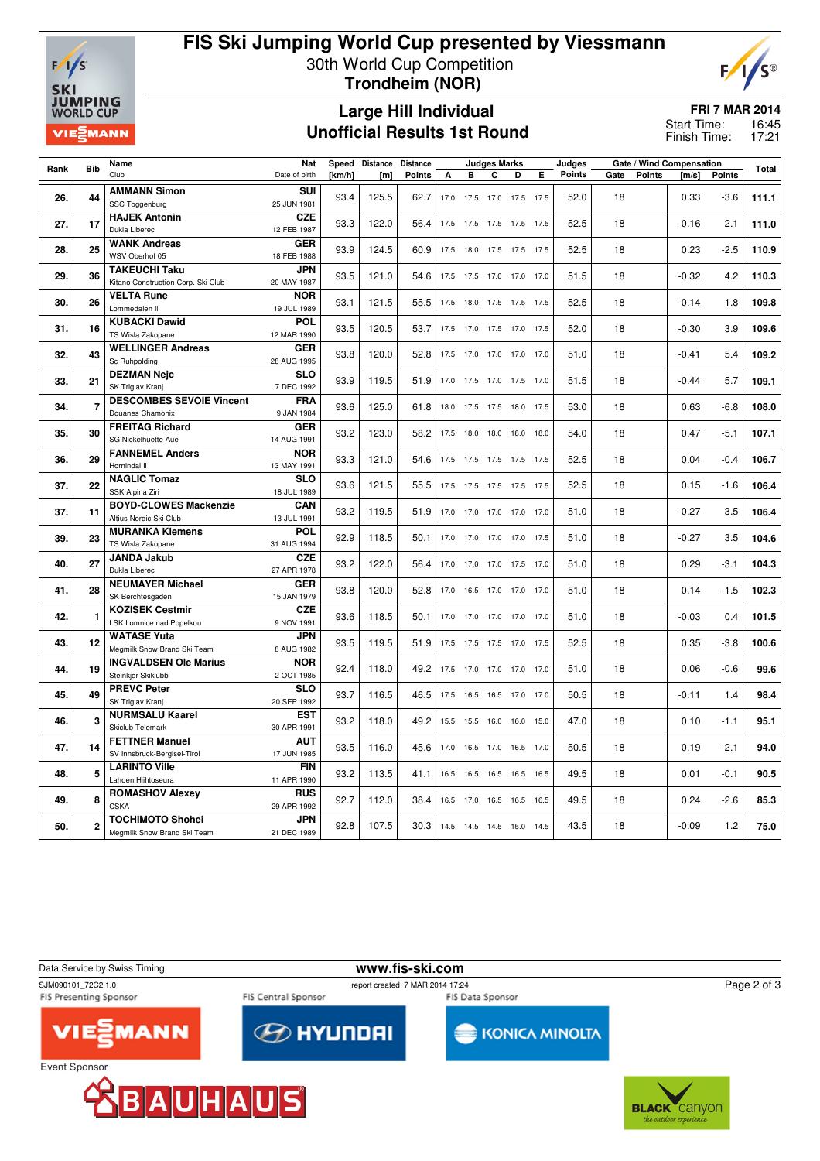

## **FIS Ski Jumping World Cup presented by Viessmann** 30th World Cup Competition **Trondheim (NOR)**



### **Large Hill Individual Unofficial Results 1st Round**

**FRI 7 MAR 2014**

16:45 17:21 Start Time: Finish Time:

| Rank | <b>Bib</b>     | Speed Distance<br>Name<br><b>Nat</b><br><b>Distance</b><br><b>Judges Marks</b> |               |        |       |               |      | Judges    |                              | Gate / Wind Compensation |                          |        | Total |               |         |               |       |
|------|----------------|--------------------------------------------------------------------------------|---------------|--------|-------|---------------|------|-----------|------------------------------|--------------------------|--------------------------|--------|-------|---------------|---------|---------------|-------|
|      |                | Club                                                                           | Date of birth | [km/h] | [m]   | <b>Points</b> | A    | B         | C                            | D                        | Е                        | Points | Gate  | <b>Points</b> | [m/s]   | <b>Points</b> |       |
|      |                | <b>AMMANN Simon</b>                                                            | SUI           |        |       |               |      |           |                              |                          |                          |        |       |               |         |               |       |
| 26.  | 44             | SSC Toggenburg                                                                 | 25 JUN 1981   | 93.4   | 125.5 | 62.7          |      |           | 17.0 17.5 17.0 17.5 17.5     |                          |                          | 52.0   | 18    |               | 0.33    | $-3.6$        | 111.1 |
|      |                | <b>HAJEK Antonin</b>                                                           | <b>CZE</b>    |        |       |               |      |           |                              |                          |                          |        |       |               |         |               |       |
| 27.  | 17             | Dukla Liberec                                                                  | 12 FEB 1987   | 93.3   | 122.0 | 56.4          |      |           | 17.5 17.5 17.5 17.5 17.5     |                          |                          | 52.5   | 18    |               | $-0.16$ | 2.1           | 111.0 |
|      |                | <b>WANK Andreas</b>                                                            | <b>GER</b>    |        |       |               |      |           |                              |                          |                          |        |       |               |         |               |       |
| 28.  | 25             | WSV Oberhof 05                                                                 | 18 FEB 1988   | 93.9   | 124.5 | 60.9          | 17.5 | 18.0      | 17.5 17.5 17.5               |                          |                          | 52.5   | 18    |               | 0.23    | $-2.5$        | 110.9 |
|      |                | <b>TAKEUCHI Taku</b>                                                           | JPN           |        |       |               |      |           |                              |                          |                          |        |       |               |         |               |       |
| 29.  | 36             | Kitano Construction Corp. Ski Club                                             | 20 MAY 1987   | 93.5   | 121.0 | 54.6          |      |           | 17.5 17.5 17.0 17.0 17.0     |                          |                          | 51.5   | 18    |               | $-0.32$ | 4.2           | 110.3 |
|      |                | <b>VELTA Rune</b>                                                              | <b>NOR</b>    |        |       |               |      |           |                              |                          |                          |        |       |               |         |               |       |
| 30.  | 26             | Lommedalen II                                                                  | 19 JUL 1989   | 93.1   | 121.5 | 55.5          |      | 17.5 18.0 | 17.5 17.5 17.5               |                          |                          | 52.5   | 18    |               | $-0.14$ | 1.8           | 109.8 |
|      |                | <b>KUBACKI Dawid</b>                                                           | <b>POL</b>    |        |       |               |      |           |                              |                          |                          |        |       |               |         |               |       |
| 31.  | 16             | TS Wisla Zakopane                                                              | 12 MAR 1990   | 93.5   | 120.5 | 53.7          |      | 17.5 17.0 | 17.5 17.0 17.5               |                          |                          | 52.0   | 18    |               | $-0.30$ | 3.9           | 109.6 |
|      |                | <b>WELLINGER Andreas</b>                                                       | <b>GER</b>    |        |       |               |      |           |                              |                          |                          |        |       |               |         |               |       |
| 32.  | 43             | Sc Ruhpolding                                                                  | 28 AUG 1995   | 93.8   | 120.0 | 52.8          |      | 17.5 17.0 | 17.0 17.0 17.0               |                          |                          | 51.0   | 18    |               | $-0.41$ | 5.4           | 109.2 |
|      |                | <b>DEZMAN Nejc</b>                                                             | <b>SLO</b>    |        |       |               |      |           |                              |                          |                          |        |       |               |         |               |       |
| 33.  | 21             | SK Triglav Kranj                                                               | 7 DEC 1992    | 93.9   | 119.5 | 51.9          |      |           |                              |                          | 17.0 17.5 17.0 17.5 17.0 | 51.5   | 18    |               | $-0.44$ | 5.7           | 109.1 |
|      |                | <b>DESCOMBES SEVOIE Vincent</b>                                                | <b>FRA</b>    |        |       |               |      |           |                              |                          |                          |        |       |               |         |               |       |
| 34.  | 7              | Douanes Chamonix                                                               | 9 JAN 1984    | 93.6   | 125.0 | 61.8          |      |           | 18.0 17.5 17.5 18.0 17.5     |                          |                          | 53.0   | 18    |               | 0.63    | $-6.8$        | 108.0 |
|      |                | <b>FREITAG Richard</b>                                                         | <b>GER</b>    |        |       |               |      |           |                              |                          |                          |        |       |               |         |               |       |
| 35.  | 30             | SG Nickelhuette Aue                                                            | 14 AUG 1991   | 93.2   | 123.0 | 58.2          |      | 17.5 18.0 | 18.0 18.0 18.0               |                          |                          | 54.0   | 18    |               | 0.47    | $-5.1$        | 107.1 |
|      |                | <b>FANNEMEL Anders</b>                                                         | <b>NOR</b>    |        |       |               |      |           |                              |                          |                          |        |       |               |         |               |       |
| 36.  | 29             | Hornindal II                                                                   | 13 MAY 1991   | 93.3   | 121.0 | 54.6          |      |           | 17.5 17.5 17.5 17.5 17.5     |                          |                          | 52.5   | 18    |               | 0.04    | $-0.4$        | 106.7 |
|      |                | <b>NAGLIC Tomaz</b>                                                            | <b>SLO</b>    |        |       |               |      |           |                              |                          |                          |        |       |               |         |               |       |
| 37.  | 22             | SSK Alpina Ziri                                                                | 18 JUL 1989   | 93.6   | 121.5 | 55.5          |      | 17.5 17.5 | 17.5 17.5 17.5               |                          |                          | 52.5   | 18    |               | 0.15    | $-1.6$        | 106.4 |
|      |                | <b>BOYD-CLOWES Mackenzie</b>                                                   | CAN           | 93.2   |       |               |      |           |                              |                          |                          |        |       |               |         |               |       |
| 37.  | 11             | Altius Nordic Ski Club                                                         | 13 JUL 1991   |        | 119.5 | 51.9          |      | 17.0 17.0 | 17.0 17.0 17.0               |                          |                          | 51.0   | 18    |               | $-0.27$ | 3.5           | 106.4 |
|      |                | <b>MURANKA Klemens</b>                                                         | <b>POL</b>    |        |       |               |      |           |                              |                          |                          |        |       |               |         |               |       |
| 39.  | 23             | TS Wisla Zakopane                                                              | 31 AUG 1994   | 92.9   | 118.5 | 50.1          | 17.0 | 17.0      | 17.0 17.0 17.5               |                          |                          | 51.0   | 18    |               | $-0.27$ | 3.5           | 104.6 |
| 40.  | 27             | <b>JANDA Jakub</b>                                                             | <b>CZE</b>    | 93.2   | 122.0 | 56.4          |      |           | 17.0 17.0 17.0 17.5 17.0     |                          |                          | 51.0   | 18    |               | 0.29    | $-3.1$        | 104.3 |
|      |                | Dukla Liberec                                                                  | 27 APR 1978   |        |       |               |      |           |                              |                          |                          |        |       |               |         |               |       |
| 41.  | 28             | <b>NEUMAYER Michael</b><br><b>GER</b>                                          |               | 93.8   | 120.0 | 52.8          |      |           | 17.0  16.5  17.0  17.0  17.0 |                          |                          | 51.0   | 18    |               | 0.14    | $-1.5$        | 102.3 |
|      |                | SK Berchtesgaden                                                               | 15 JAN 1979   |        |       |               |      |           |                              |                          |                          |        |       |               |         |               |       |
| 42.  | 1              | <b>KOZISEK Cestmir</b>                                                         | <b>CZE</b>    | 93.6   | 118.5 | 50.1          |      |           | 17.0 17.0 17.0 17.0 17.0     |                          |                          | 51.0   | 18    |               | $-0.03$ | 0.4           | 101.5 |
|      |                | LSK Lomnice nad Popelkou<br>9 NOV 1991                                         |               |        |       |               |      |           |                              |                          |                          |        |       |               |         |               |       |
| 43.  | 12             | <b>WATASE Yuta</b>                                                             | JPN           | 93.5   | 119.5 | 51.9          |      |           | 17.5 17.5 17.5 17.0 17.5     |                          |                          | 52.5   | 18    |               | 0.35    | $-3.8$        | 100.6 |
|      |                | Megmilk Snow Brand Ski Team                                                    | 8 AUG 1982    |        |       |               |      |           |                              |                          |                          |        |       |               |         |               |       |
| 44.  | 19             | <b>INGVALDSEN Ole Marius</b>                                                   | <b>NOR</b>    | 92.4   | 118.0 | 49.2          |      | 17.5 17.0 | 17.0 17.0 17.0               |                          |                          | 51.0   | 18    |               | 0.06    | $-0.6$        | 99.6  |
|      |                | Steinkjer Skiklubb                                                             | 2 OCT 1985    |        |       |               |      |           |                              |                          |                          |        |       |               |         |               |       |
| 45.  | 49             | <b>PREVC Peter</b>                                                             | <b>SLO</b>    | 93.7   | 116.5 | 46.5          | 17.5 | 16.5      | 16.5 17.0 17.0               |                          |                          | 50.5   | 18    |               | $-0.11$ | 1.4           | 98.4  |
|      |                | SK Triglav Kranj                                                               | 20 SEP 1992   |        |       |               |      |           |                              |                          |                          |        |       |               |         |               |       |
| 46.  | 3              | <b>NURMSALU Kaarel</b>                                                         | <b>EST</b>    | 93.2   | 118.0 | 49.2          |      | 15.5 15.5 | 16.0 16.0 15.0               |                          |                          | 47.0   | 18    |               | 0.10    | $-1.1$        | 95.1  |
|      |                | Skiclub Telemark                                                               | 30 APR 1991   |        |       |               |      |           |                              |                          |                          |        |       |               |         |               |       |
| 47.  | 14             | <b>FETTNER Manuel</b>                                                          | <b>AUT</b>    | 93.5   | 116.0 | 45.6          | 17.0 | 16.5      | 17.0 16.5 17.0               |                          |                          | 50.5   | 18    |               | 0.19    | $-2.1$        | 94.0  |
|      |                | SV Innsbruck-Bergisel-Tirol                                                    | 17 JUN 1985   |        |       |               |      |           |                              |                          |                          |        |       |               |         |               |       |
| 48.  | 5              | <b>LARINTO Ville</b>                                                           | <b>FIN</b>    | 93.2   | 113.5 | 41.1          |      | 16.5 16.5 | 16.5 16.5 16.5               |                          |                          | 49.5   | 18    |               | 0.01    | $-0.1$        | 90.5  |
|      |                | Lahden Hiihtoseura                                                             | 11 APR 1990   |        |       |               |      |           |                              |                          |                          |        |       |               |         |               |       |
| 49.  | 8              | <b>ROMASHOV Alexey</b>                                                         | <b>RUS</b>    | 92.7   | 112.0 | 38.4          |      | 16.5 17.0 | 16.5 16.5 16.5               |                          |                          | 49.5   | 18    |               | 0.24    | $-2.6$        | 85.3  |
|      |                | <b>CSKA</b>                                                                    | 29 APR 1992   |        |       |               |      |           |                              |                          |                          |        |       |               |         |               |       |
| 50.  | $\overline{a}$ | <b>TOCHIMOTO Shohei</b>                                                        | <b>JPN</b>    | 92.8   | 107.5 | 30.3          |      |           | 14.5 14.5 14.5 15.0 14.5     |                          |                          | 43.5   | 18    |               | $-0.09$ | 1.2           | 75.0  |
|      |                | Megmilk Snow Brand Ski Team                                                    | 21 DEC 1989   |        |       |               |      |           |                              |                          |                          |        |       |               |         |               |       |